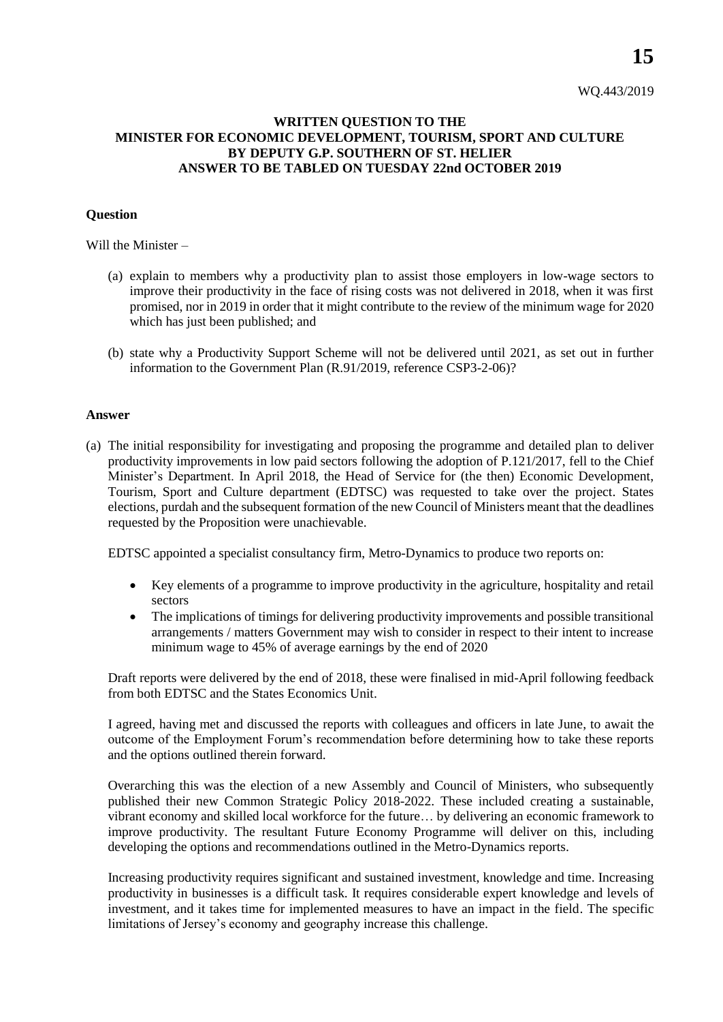**15**

## **WRITTEN QUESTION TO THE MINISTER FOR ECONOMIC DEVELOPMENT, TOURISM, SPORT AND CULTURE BY DEPUTY G.P. SOUTHERN OF ST. HELIER ANSWER TO BE TABLED ON TUESDAY 22nd OCTOBER 2019**

## **Question**

Will the Minister –

- (a) explain to members why a productivity plan to assist those employers in low-wage sectors to improve their productivity in the face of rising costs was not delivered in 2018, when it was first promised, nor in 2019 in order that it might contribute to the review of the minimum wage for 2020 which has just been published; and
- (b) state why a Productivity Support Scheme will not be delivered until 2021, as set out in further information to the Government Plan (R.91/2019, reference CSP3-2-06)?

## **Answer**

(a) The initial responsibility for investigating and proposing the programme and detailed plan to deliver productivity improvements in low paid sectors following the adoption of P.121/2017, fell to the Chief Minister's Department. In April 2018, the Head of Service for (the then) Economic Development, Tourism, Sport and Culture department (EDTSC) was requested to take over the project. States elections, purdah and the subsequent formation of the new Council of Ministers meant that the deadlines requested by the Proposition were unachievable.

EDTSC appointed a specialist consultancy firm, Metro-Dynamics to produce two reports on:

- Key elements of a programme to improve productivity in the agriculture, hospitality and retail sectors
- The implications of timings for delivering productivity improvements and possible transitional arrangements / matters Government may wish to consider in respect to their intent to increase minimum wage to 45% of average earnings by the end of 2020

Draft reports were delivered by the end of 2018, these were finalised in mid-April following feedback from both EDTSC and the States Economics Unit.

I agreed, having met and discussed the reports with colleagues and officers in late June, to await the outcome of the Employment Forum's recommendation before determining how to take these reports and the options outlined therein forward.

Overarching this was the election of a new Assembly and Council of Ministers, who subsequently published their new Common Strategic Policy 2018-2022. These included creating a sustainable, vibrant economy and skilled local workforce for the future… by delivering an economic framework to improve productivity. The resultant Future Economy Programme will deliver on this, including developing the options and recommendations outlined in the Metro-Dynamics reports.

Increasing productivity requires significant and sustained investment, knowledge and time. Increasing productivity in businesses is a difficult task. It requires considerable expert knowledge and levels of investment, and it takes time for implemented measures to have an impact in the field. The specific limitations of Jersey's economy and geography increase this challenge.